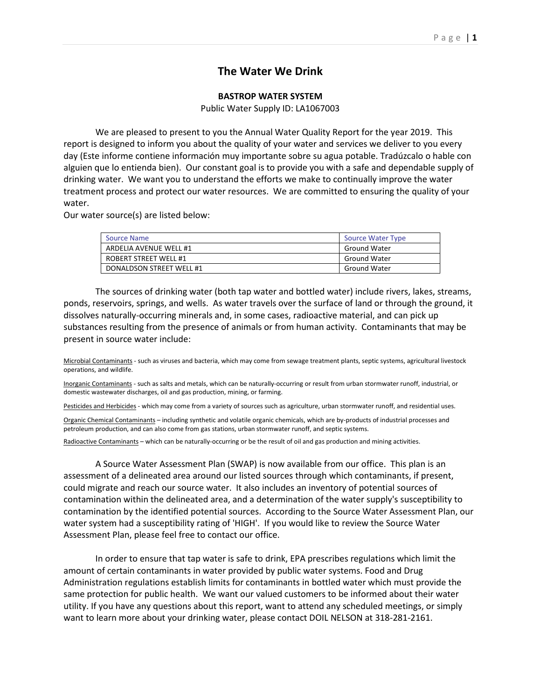# **The Water We Drink**

### **BASTROP WATER SYSTEM**

Public Water Supply ID: LA1067003

We are pleased to present to you the Annual Water Quality Report for the year 2019. This report is designed to inform you about the quality of your water and services we deliver to you every day (Este informe contiene información muy importante sobre su agua potable. Tradúzcalo o hable con alguien que lo entienda bien). Our constant goal is to provide you with a safe and dependable supply of drinking water. We want you to understand the efforts we make to continually improve the water treatment process and protect our water resources. We are committed to ensuring the quality of your water.

Our water source(s) are listed below:

| <b>Source Name</b>       | <b>Source Water Type</b> |
|--------------------------|--------------------------|
| ARDELIA AVENUE WELL #1   | <b>Ground Water</b>      |
| ROBERT STREET WELL #1    | <b>Ground Water</b>      |
| DONALDSON STREET WELL #1 | <b>Ground Water</b>      |

The sources of drinking water (both tap water and bottled water) include rivers, lakes, streams, ponds, reservoirs, springs, and wells. As water travels over the surface of land or through the ground, it dissolves naturally-occurring minerals and, in some cases, radioactive material, and can pick up substances resulting from the presence of animals or from human activity. Contaminants that may be present in source water include:

Microbial Contaminants - such as viruses and bacteria, which may come from sewage treatment plants, septic systems, agricultural livestock operations, and wildlife.

Inorganic Contaminants - such as salts and metals, which can be naturally-occurring or result from urban stormwater runoff, industrial, or domestic wastewater discharges, oil and gas production, mining, or farming.

Pesticides and Herbicides - which may come from a variety of sources such as agriculture, urban stormwater runoff, and residential uses.

Organic Chemical Contaminants – including synthetic and volatile organic chemicals, which are by-products of industrial processes and petroleum production, and can also come from gas stations, urban stormwater runoff, and septic systems.

Radioactive Contaminants – which can be naturally-occurring or be the result of oil and gas production and mining activities.

A Source Water Assessment Plan (SWAP) is now available from our office. This plan is an assessment of a delineated area around our listed sources through which contaminants, if present, could migrate and reach our source water. It also includes an inventory of potential sources of contamination within the delineated area, and a determination of the water supply's susceptibility to contamination by the identified potential sources. According to the Source Water Assessment Plan, our water system had a susceptibility rating of 'HIGH'. If you would like to review the Source Water Assessment Plan, please feel free to contact our office.

In order to ensure that tap water is safe to drink, EPA prescribes regulations which limit the amount of certain contaminants in water provided by public water systems. Food and Drug Administration regulations establish limits for contaminants in bottled water which must provide the same protection for public health. We want our valued customers to be informed about their water utility. If you have any questions about this report, want to attend any scheduled meetings, or simply want to learn more about your drinking water, please contact DOIL NELSON at 318-281-2161.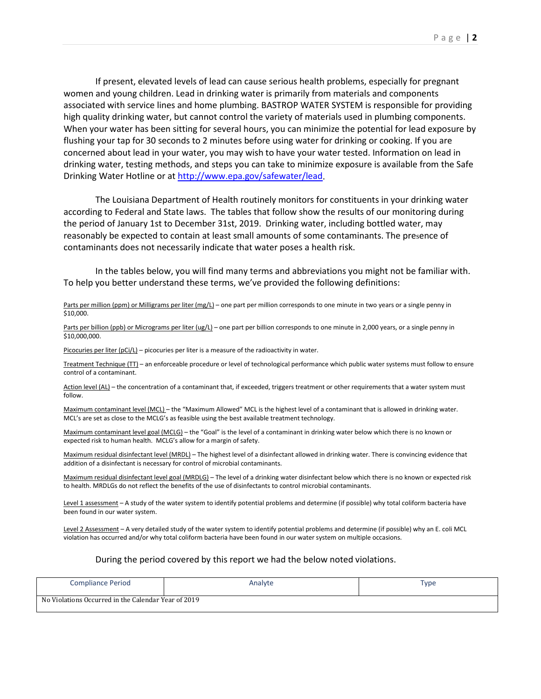If present, elevated levels of lead can cause serious health problems, especially for pregnant women and young children. Lead in drinking water is primarily from materials and components associated with service lines and home plumbing. BASTROP WATER SYSTEM is responsible for providing high quality drinking water, but cannot control the variety of materials used in plumbing components. When your water has been sitting for several hours, you can minimize the potential for lead exposure by flushing your tap for 30 seconds to 2 minutes before using water for drinking or cooking. If you are concerned about lead in your water, you may wish to have your water tested. Information on lead in drinking water, testing methods, and steps you can take to minimize exposure is available from the Safe Drinking Water Hotline or at [http://www.epa.gov/safewater/lead.](http://www.epa.gov/safewater/lead)

The Louisiana Department of Health routinely monitors for constituents in your drinking water according to Federal and State laws. The tables that follow show the results of our monitoring during the period of January 1st to December 31st, 2019. Drinking water, including bottled water, may reasonably be expected to contain at least small amounts of some contaminants. The presence of contaminants does not necessarily indicate that water poses a health risk.

In the tables below, you will find many terms and abbreviations you might not be familiar with. To help you better understand these terms, we've provided the following definitions:

#### Parts per million (ppm) or Milligrams per liter (mg/L) – one part per million corresponds to one minute in two years or a single penny in \$10,000.

Parts per billion (ppb) or Micrograms per liter (ug/L) – one part per billion corresponds to one minute in 2,000 years, or a single penny in \$10,000,000.

Picocuries per liter (pCi/L) – picocuries per liter is a measure of the radioactivity in water.

Treatment Technique (TT) – an enforceable procedure or level of technological performance which public water systems must follow to ensure control of a contaminant.

Action level (AL) – the concentration of a contaminant that, if exceeded, triggers treatment or other requirements that a water system must follow.

Maximum contaminant level (MCL) – the "Maximum Allowed" MCL is the highest level of a contaminant that is allowed in drinking water. MCL's are set as close to the MCLG's as feasible using the best available treatment technology.

Maximum contaminant level goal (MCLG) – the "Goal" is the level of a contaminant in drinking water below which there is no known or expected risk to human health. MCLG's allow for a margin of safety.

Maximum residual disinfectant level (MRDL) – The highest level of a disinfectant allowed in drinking water. There is convincing evidence that addition of a disinfectant is necessary for control of microbial contaminants.

Maximum residual disinfectant level goal (MRDLG) – The level of a drinking water disinfectant below which there is no known or expected risk to health. MRDLGs do not reflect the benefits of the use of disinfectants to control microbial contaminants.

Level 1 assessment – A study of the water system to identify potential problems and determine (if possible) why total coliform bacteria have been found in our water system.

Level 2 Assessment - A very detailed study of the water system to identify potential problems and determine (if possible) why an E. coli MCL violation has occurred and/or why total coliform bacteria have been found in our water system on multiple occasions.

#### During the period covered by this report we had the below noted violations.

| <b>Compliance Period</b>                            | Analyte | Type |
|-----------------------------------------------------|---------|------|
| No Violations Occurred in the Calendar Year of 2019 |         |      |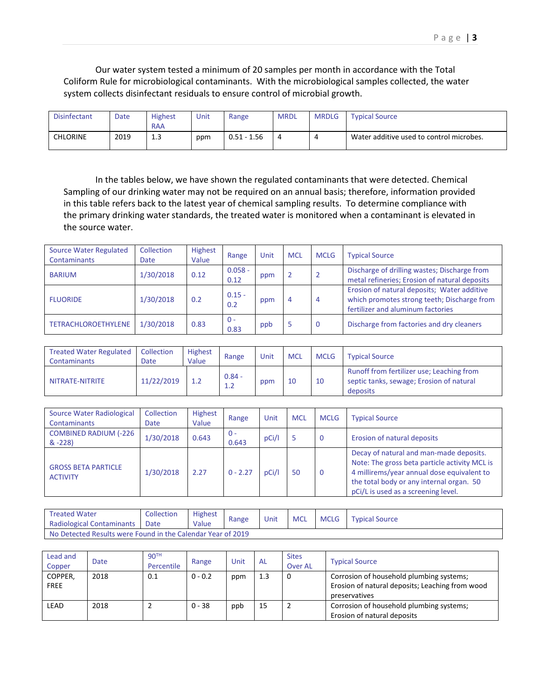Our water system tested a minimum of 20 samples per month in accordance with the Total Coliform Rule for microbiological contaminants. With the microbiological samples collected, the water system collects disinfectant residuals to ensure control of microbial growth.

| <b>Disinfectant</b> | Date | <b>Highest</b><br><b>RAA</b> | Unit | Range         | <b>MRDL</b> | <b>MRDLG</b> | <b>Typical Source</b>                    |
|---------------------|------|------------------------------|------|---------------|-------------|--------------|------------------------------------------|
| CHLORINE            | 2019 | ∽<br>ر. 1                    | ppm  | $0.51 - 1.56$ | 4           | 4            | Water additive used to control microbes. |

In the tables below, we have shown the regulated contaminants that were detected. Chemical Sampling of our drinking water may not be required on an annual basis; therefore, information provided in this table refers back to the latest year of chemical sampling results. To determine compliance with the primary drinking water standards, the treated water is monitored when a contaminant is elevated in the source water.

| Source Water Regulated<br>Contaminants | Collection<br>Date | Highest<br>Value | Range             | Unit | <b>MCL</b> | <b>MCLG</b>    | <b>Typical Source</b>                                                                                                           |
|----------------------------------------|--------------------|------------------|-------------------|------|------------|----------------|---------------------------------------------------------------------------------------------------------------------------------|
| <b>BARIUM</b>                          | 1/30/2018          | 0.12             | $0.058 -$<br>0.12 | ppm  |            | $\overline{2}$ | Discharge of drilling wastes; Discharge from<br>metal refineries; Erosion of natural deposits                                   |
| <b>FLUORIDE</b>                        | 1/30/2018          | 0.2              | $0.15 -$<br>0.2   | ppm  | 4          | $\overline{4}$ | Erosion of natural deposits; Water additive<br>which promotes strong teeth; Discharge from<br>fertilizer and aluminum factories |
| <b>TETRACHLOROETHYLENE</b>             | 1/30/2018          | 0.83             | $0 -$<br>0.83     | ppb  | Ь          | 0              | Discharge from factories and dry cleaners                                                                                       |

| <b>Treated Water Regulated</b><br>Contaminants | Collection<br>Date | Highest<br>Value | Range           | Unit | <b>MCL</b> | <b>MCLG</b> | <b>Typical Source</b>                                                                             |
|------------------------------------------------|--------------------|------------------|-----------------|------|------------|-------------|---------------------------------------------------------------------------------------------------|
| NITRATE-NITRITE                                | 11/22/2019         | 1.2              | $0.84 -$<br>1.2 | ppm  | 10         | 10          | Runoff from fertilizer use; Leaching from<br>septic tanks, sewage; Erosion of natural<br>deposits |

| Source Water Radiological<br><b>Contaminants</b> | Collection<br>Date | Highest<br>Value | Range          | Unit  | <b>MCL</b> | <b>MCLG</b> | <b>Typical Source</b>                                                                                                                                                                                                     |
|--------------------------------------------------|--------------------|------------------|----------------|-------|------------|-------------|---------------------------------------------------------------------------------------------------------------------------------------------------------------------------------------------------------------------------|
| <b>COMBINED RADIUM (-226</b><br>$& -228$         | 1/30/2018          | 0.643            | $0 -$<br>0.643 | pCi/l |            | 0           | Erosion of natural deposits                                                                                                                                                                                               |
| <b>GROSS BETA PARTICLE</b><br><b>ACTIVITY</b>    | 1/30/2018          | 2.27             | $0 - 2.27$     | pCi/l | 50         | 0           | Decay of natural and man-made deposits.<br>Note: The gross beta particle activity MCL is<br>4 millirems/year annual dose equivalent to<br>the total body or any internal organ. 50<br>pCi/L is used as a screening level. |

| <b>Treated Water</b>                                        | Collection | <b>Highest</b> |       | Unit | <b>MCL</b> | MCLG | <b>Typical Source</b> |
|-------------------------------------------------------------|------------|----------------|-------|------|------------|------|-----------------------|
| Radiological Contaminants                                   | Date       | Value          | Range |      |            |      |                       |
| No Detected Results were Found in the Calendar Year of 2019 |            |                |       |      |            |      |                       |

| Lead and<br>Copper     | Date | 90 <sup>TH</sup><br>Percentile | Range     | Unit | AL  | <b>Sites</b><br><b>Over AL</b> | <b>Typical Source</b>                                                                                        |
|------------------------|------|--------------------------------|-----------|------|-----|--------------------------------|--------------------------------------------------------------------------------------------------------------|
| COPPER.<br><b>FREE</b> | 2018 | 0.1                            | $0 - 0.2$ | ppm  | 1.3 | 0                              | Corrosion of household plumbing systems;<br>Erosion of natural deposits; Leaching from wood<br>preservatives |
| LEAD                   | 2018 |                                | $0 - 38$  | ppb  | 15  | 2                              | Corrosion of household plumbing systems;<br>Erosion of natural deposits                                      |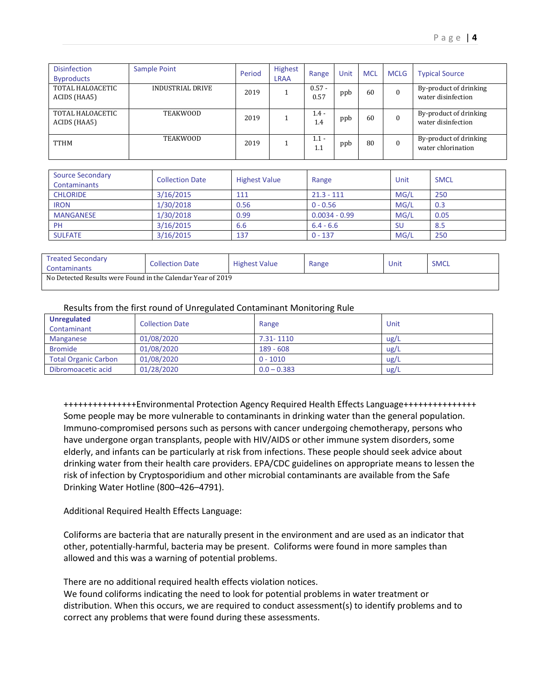| <b>Disinfection</b><br><b>Byproducts</b> | <b>Sample Point</b> | Period | <b>Highest</b><br><b>LRAA</b> | Range            | Unit | <b>MCL</b> | <b>MCLG</b> | <b>Typical Source</b>                        |
|------------------------------------------|---------------------|--------|-------------------------------|------------------|------|------------|-------------|----------------------------------------------|
| TOTAL HALOACETIC<br>ACIDS (HAA5)         | INDUSTRIAL DRIVE    | 2019   |                               | $0.57 -$<br>0.57 | ppb  | 60         | $\Omega$    | By-product of drinking<br>water disinfection |
| TOTAL HALOACETIC<br>ACIDS (HAA5)         | <b>TEAKWOOD</b>     | 2019   |                               | $1.4 -$<br>1.4   | ppb  | 60         | $\Omega$    | By-product of drinking<br>water disinfection |
| <b>TTHM</b>                              | <b>TEAKWOOD</b>     | 2019   |                               | $1.1 -$<br>1.1   | ppb  | 80         | $\Omega$    | By-product of drinking<br>water chlorination |

| <b>Source Secondary</b><br><b>Contaminants</b> | <b>Collection Date</b> | <b>Highest Value</b> | Range           | Unit      | <b>SMCL</b> |
|------------------------------------------------|------------------------|----------------------|-----------------|-----------|-------------|
| <b>CHLORIDE</b>                                | 3/16/2015              | 111                  | $21.3 - 111$    | MG/L      | 250         |
| <b>IRON</b>                                    | 1/30/2018              | 0.56                 | $0 - 0.56$      | MG/L      | 0.3         |
| <b>MANGANESE</b>                               | 1/30/2018              | 0.99                 | $0.0034 - 0.99$ | MG/L      | 0.05        |
| PH                                             | 3/16/2015              | 6.6                  | $6.4 - 6.6$     | <b>SU</b> | 8.5         |
| <b>SULFATE</b>                                 | 3/16/2015              | 137                  | $0 - 137$       | MG/L      | 250         |

| <b>Treated Secondary</b><br>Contaminants                    | <b>Collection Date</b> | <b>Highest Value</b> | Range | Unit | <b>SMCL</b> |
|-------------------------------------------------------------|------------------------|----------------------|-------|------|-------------|
| No Detected Results were Found in the Calendar Year of 2019 |                        |                      |       |      |             |

## Results from the first round of Unregulated Contaminant Monitoring Rule

| <b>Unregulated</b><br>Contaminant | <b>Collection Date</b> | Range         | Unit |
|-----------------------------------|------------------------|---------------|------|
| Manganese                         | 01/08/2020             | 7.31-1110     | ug/L |
| <b>Bromide</b>                    | 01/08/2020             | $189 - 608$   | ug/L |
| <b>Total Organic Carbon</b>       | 01/08/2020             | $0 - 1010$    | ug/L |
| Dibromoacetic acid                | 01/28/2020             | $0.0 - 0.383$ | ug/L |

+++++++++++++++Environmental Protection Agency Required Health Effects Language+++++++++++++++ Some people may be more vulnerable to contaminants in drinking water than the general population. Immuno-compromised persons such as persons with cancer undergoing chemotherapy, persons who have undergone organ transplants, people with HIV/AIDS or other immune system disorders, some elderly, and infants can be particularly at risk from infections. These people should seek advice about drinking water from their health care providers. EPA/CDC guidelines on appropriate means to lessen the risk of infection by Cryptosporidium and other microbial contaminants are available from the Safe Drinking Water Hotline (800–426–4791).

Additional Required Health Effects Language:

Coliforms are bacteria that are naturally present in the environment and are used as an indicator that other, potentially-harmful, bacteria may be present. Coliforms were found in more samples than allowed and this was a warning of potential problems.

There are no additional required health effects violation notices.

We found coliforms indicating the need to look for potential problems in water treatment or distribution. When this occurs, we are required to conduct assessment(s) to identify problems and to correct any problems that were found during these assessments.